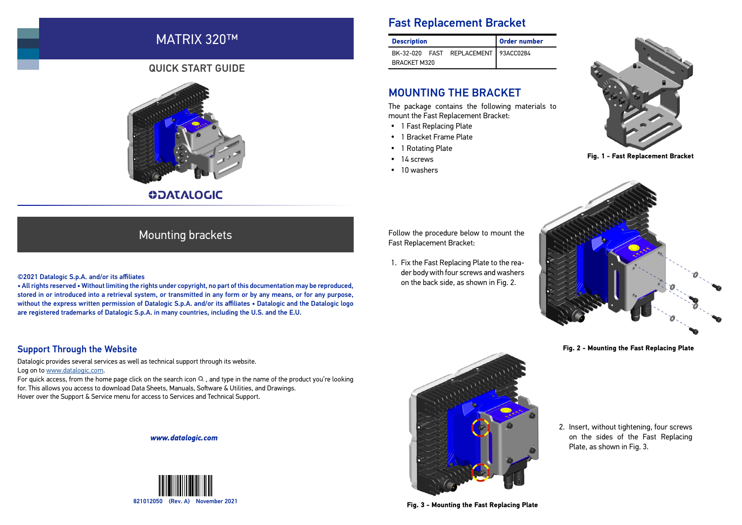# MATRIX 320™

### QUICK START GUIDE



**ODATALOGIC** 

# Fast Replacement Bracket

| <b>Description</b>  |  |                                      | <b>Order number</b> |
|---------------------|--|--------------------------------------|---------------------|
|                     |  | BK-32-020 FAST REPLACEMENT 93ACC0284 |                     |
| <b>BRACKET M320</b> |  |                                      |                     |

## MOUNTING THE BRACKET

The package contains the following materials to mount the Fast Replacement Bracket:

- 1 Fast Replacing Plate
- 1 Bracket Frame Plate
- 1 Rotating Plate
- $\cdot$  14 screws
- 10 washers



**Fig. 1 - Fast Replacement Bracket**

## Mounting brackets

- 1. Fix the Fast Replacing Plate to the rea-
- on the back side, as shown in Fig. 2.

#### ©2021 Datalogic S.p.A. and/or its affiliates

• All rights reserved • Without limiting the rights under copyright, no part of this documentation may be reproduced, stored in or introduced into a retrieval system, or transmitted in any form or by any means, or for any purpose, without the express written permission of Datalogic S.p.A. and/or its affiliates • Datalogic and the Datalogic logo are registered trademarks of Datalogic S.p.A. in many countries, including the U.S. and the E.U.

Follow the procedure below to mount the Fast Replacement Bracket:

der body with four screws and washers



**Fig. 2 - Mounting the Fast Replacing Plate**

#### Support Through the Website

Datalogic provides several services as well as technical support through its website. Log on to [www.datalogic.com](http://www.datalogic.com).

For quick access, from the home page click on the search icon  $\Omega$ , and type in the name of the product you're looking for. This allows you access to download Data Sheets, Manuals, Software & Utilities, and Drawings. Hover over the Support & Service menu for access to Services and Technical Support.

*www.datalogic.com*





2. Insert, without tightening, four screws on the sides of the Fast Replacing Plate, as shown in Fig. 3.

**Fig. 3 - Mounting the Fast Replacing Plate**